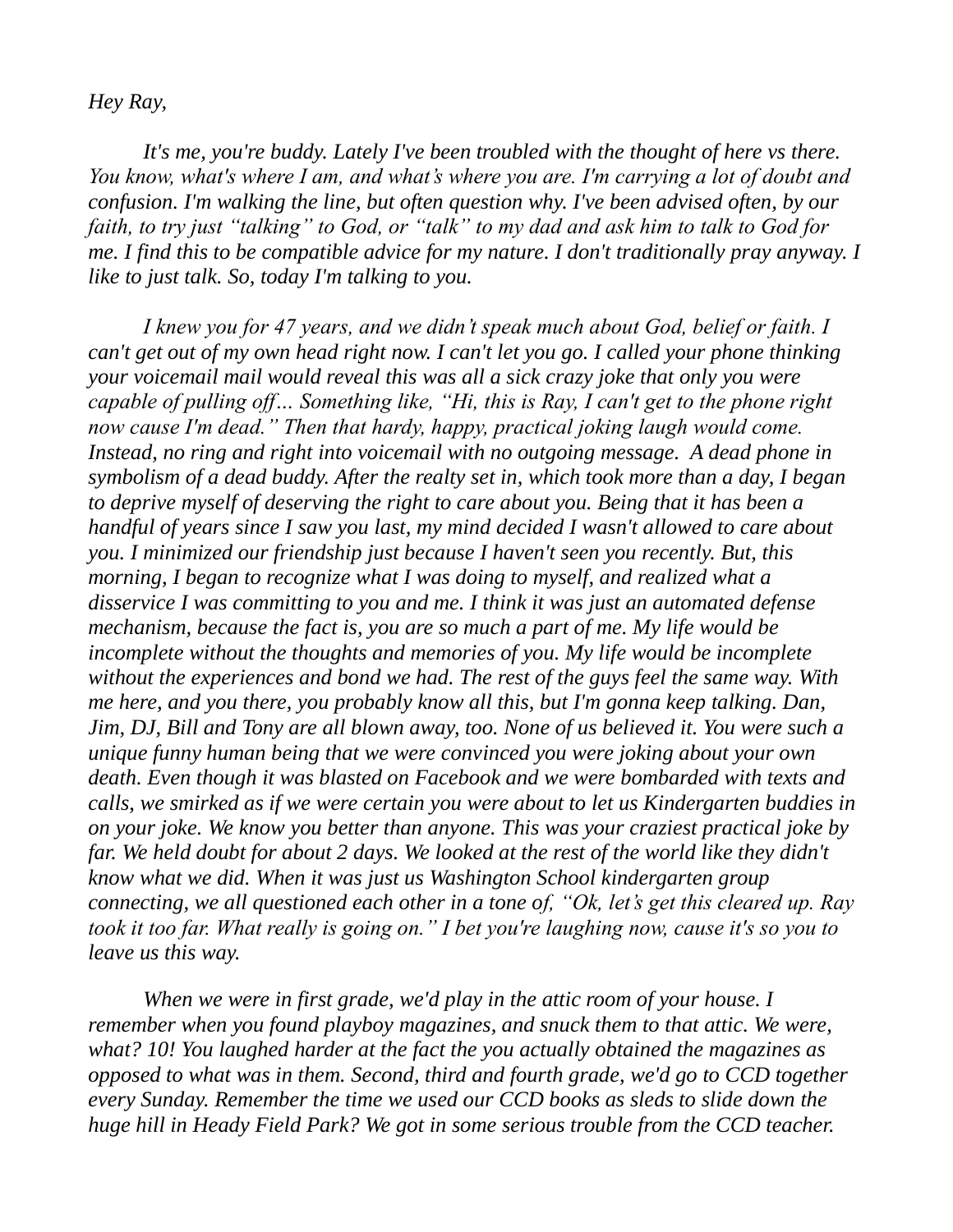## *Hey Ray,*

*It's me, you're buddy. Lately I've been troubled with the thought of here vs there. You know, what's where I am, and what's where you are. I'm carrying a lot of doubt and confusion. I'm walking the line, but often question why. I've been advised often, by our faith, to try just "talking" to God, or "talk" to my dad and ask him to talk to God for me. I find this to be compatible advice for my nature. I don't traditionally pray anyway. I like to just talk. So, today I'm talking to you.* 

*I knew you for 47 years, and we didn't speak much about God, belief or faith. I can't get out of my own head right now. I can't let you go. I called your phone thinking your voicemail mail would reveal this was all a sick crazy joke that only you were capable of pulling off… Something like, "Hi, this is Ray, I can't get to the phone right now cause I'm dead." Then that hardy, happy, practical joking laugh would come. Instead, no ring and right into voicemail with no outgoing message. A dead phone in symbolism of a dead buddy. After the realty set in, which took more than a day, I began to deprive myself of deserving the right to care about you. Being that it has been a handful of years since I saw you last, my mind decided I wasn't allowed to care about you. I minimized our friendship just because I haven't seen you recently. But, this morning, I began to recognize what I was doing to myself, and realized what a disservice I was committing to you and me. I think it was just an automated defense mechanism, because the fact is, you are so much a part of me. My life would be incomplete without the thoughts and memories of you. My life would be incomplete without the experiences and bond we had. The rest of the guys feel the same way. With me here, and you there, you probably know all this, but I'm gonna keep talking. Dan, Jim, DJ, Bill and Tony are all blown away, too. None of us believed it. You were such a unique funny human being that we were convinced you were joking about your own death. Even though it was blasted on Facebook and we were bombarded with texts and calls, we smirked as if we were certain you were about to let us Kindergarten buddies in on your joke. We know you better than anyone. This was your craziest practical joke by*  far. We held doubt for about 2 days. We looked at the rest of the world like they didn't *know what we did. When it was just us Washington School kindergarten group connecting, we all questioned each other in a tone of, "Ok, let's get this cleared up. Ray took it too far. What really is going on." I bet you're laughing now, cause it's so you to leave us this way.*

*When we were in first grade, we'd play in the attic room of your house. I remember when you found playboy magazines, and snuck them to that attic. We were, what? 10! You laughed harder at the fact the you actually obtained the magazines as opposed to what was in them. Second, third and fourth grade, we'd go to CCD together every Sunday. Remember the time we used our CCD books as sleds to slide down the huge hill in Heady Field Park? We got in some serious trouble from the CCD teacher.*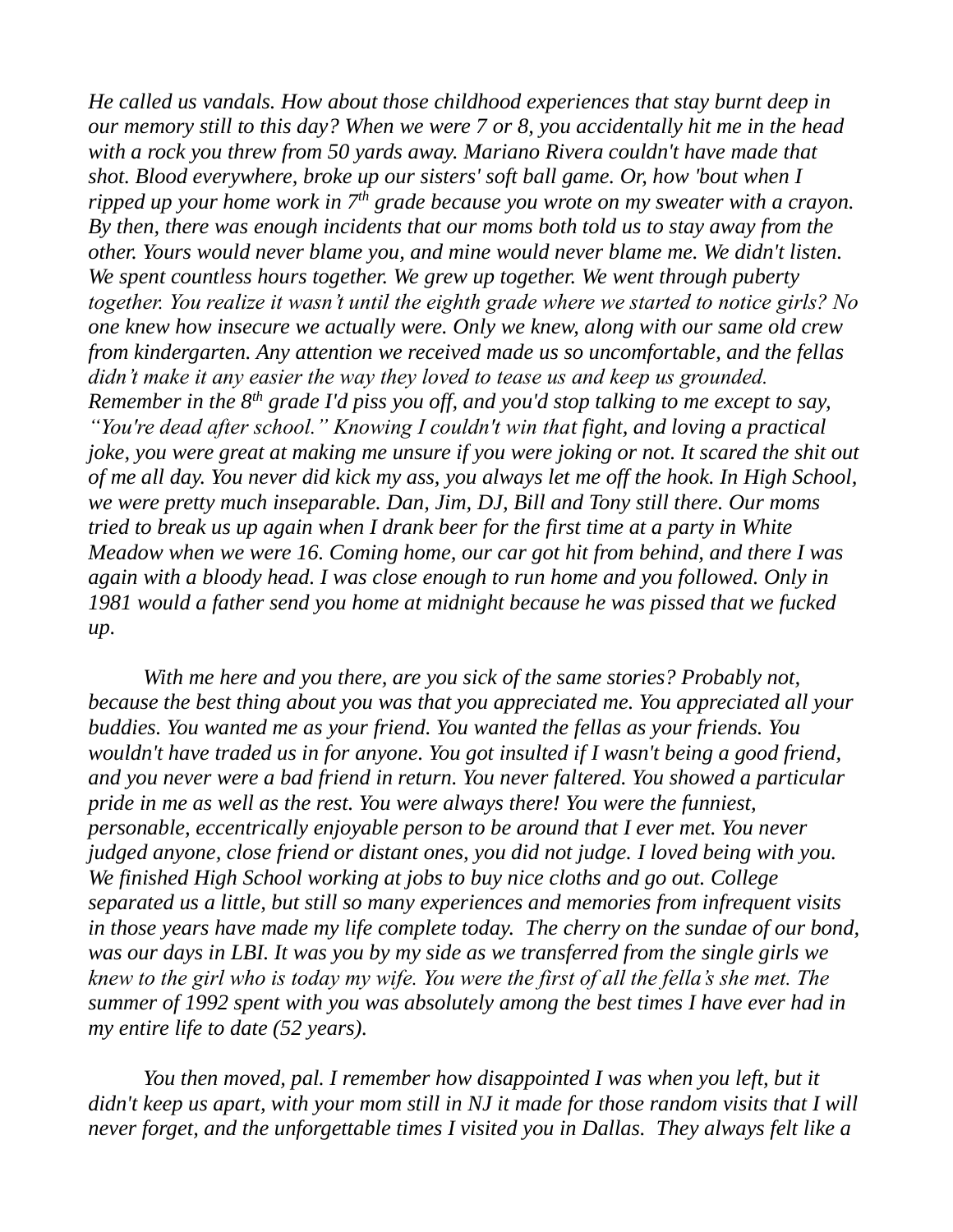*He called us vandals. How about those childhood experiences that stay burnt deep in our memory still to this day? When we were 7 or 8, you accidentally hit me in the head with a rock you threw from 50 yards away. Mariano Rivera couldn't have made that shot. Blood everywhere, broke up our sisters' soft ball game. Or, how 'bout when I ripped up your home work in 7th grade because you wrote on my sweater with a crayon. By then, there was enough incidents that our moms both told us to stay away from the other. Yours would never blame you, and mine would never blame me. We didn't listen. We spent countless hours together. We grew up together. We went through puberty together. You realize it wasn't until the eighth grade where we started to notice girls? No one knew how insecure we actually were. Only we knew, along with our same old crew from kindergarten. Any attention we received made us so uncomfortable, and the fellas didn't make it any easier the way they loved to tease us and keep us grounded. Remember in the 8th grade I'd piss you off, and you'd stop talking to me except to say, "You're dead after school." Knowing I couldn't win that fight, and loving a practical joke, you were great at making me unsure if you were joking or not. It scared the shit out of me all day. You never did kick my ass, you always let me off the hook. In High School, we were pretty much inseparable. Dan, Jim, DJ, Bill and Tony still there. Our moms tried to break us up again when I drank beer for the first time at a party in White Meadow when we were 16. Coming home, our car got hit from behind, and there I was again with a bloody head. I was close enough to run home and you followed. Only in 1981 would a father send you home at midnight because he was pissed that we fucked up.* 

*With me here and you there, are you sick of the same stories? Probably not, because the best thing about you was that you appreciated me. You appreciated all your buddies. You wanted me as your friend. You wanted the fellas as your friends. You wouldn't have traded us in for anyone. You got insulted if I wasn't being a good friend, and you never were a bad friend in return. You never faltered. You showed a particular pride in me as well as the rest. You were always there! You were the funniest, personable, eccentrically enjoyable person to be around that I ever met. You never judged anyone, close friend or distant ones, you did not judge. I loved being with you. We finished High School working at jobs to buy nice cloths and go out. College separated us a little, but still so many experiences and memories from infrequent visits in those years have made my life complete today. The cherry on the sundae of our bond, was our days in LBI. It was you by my side as we transferred from the single girls we knew to the girl who is today my wife. You were the first of all the fella's she met. The summer of 1992 spent with you was absolutely among the best times I have ever had in my entire life to date (52 years).* 

*You then moved, pal. I remember how disappointed I was when you left, but it didn't keep us apart, with your mom still in NJ it made for those random visits that I will never forget, and the unforgettable times I visited you in Dallas. They always felt like a*